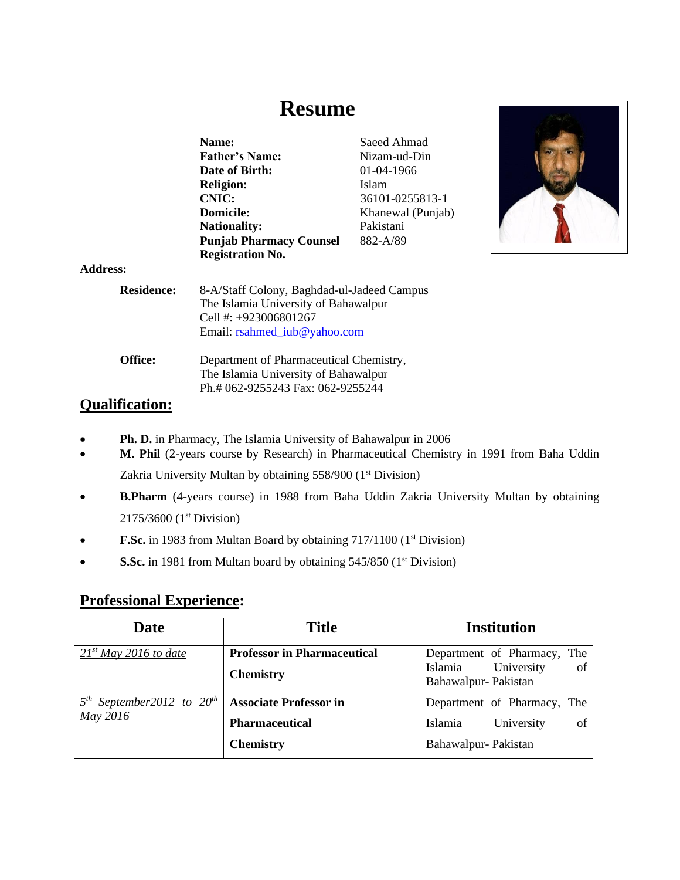# **Resume**

|                      | Name:<br><b>Father's Name:</b><br>Date of Birth:<br><b>Religion:</b><br><b>CNIC:</b><br>Domicile:<br><b>Nationality:</b>                    | Saeed Ahmad<br>Nizam-ud-Din<br>01-04-1966<br><b>Islam</b><br>36101-0255813-1<br>Khanewal (Punjab)<br>Pakistani<br>882-A/89 |  |
|----------------------|---------------------------------------------------------------------------------------------------------------------------------------------|----------------------------------------------------------------------------------------------------------------------------|--|
|                      | <b>Punjab Pharmacy Counsel</b><br><b>Registration No.</b>                                                                                   |                                                                                                                            |  |
| $\ddot{\phantom{a}}$ |                                                                                                                                             |                                                                                                                            |  |
| <b>Residence:</b>    | 8-A/Staff Colony, Baghdad-ul-Jadeed Campus<br>The Islamia University of Bahawalpur<br>Cell #: +923006801267<br>Email: rsahmed_iub@yahoo.com |                                                                                                                            |  |

**Office:** Department of Pharmaceutical Chemistry, The Islamia University of Bahawalpur Ph.# 062-9255243 Fax: 062-9255244

## **Qualification:**

**Address:**

- **Ph. D.** in Pharmacy, The Islamia University of Bahawalpur in 2006
- **M. Phil** (2-years course by Research) in Pharmaceutical Chemistry in 1991 from Baha Uddin Zakria University Multan by obtaining 558/900 (1<sup>st</sup> Division)
- **B.Pharm** (4-years course) in 1988 from Baha Uddin Zakria University Multan by obtaining 2175/3600 (1st Division)
- **F.Sc.** in 1983 from Multan Board by obtaining 717/1100 (1<sup>st</sup> Division)
- **S.Sc.** in 1981 from Multan board by obtaining 545/850 (1<sup>st</sup> Division)

## **Professional Experience:**

| <b>Date</b>                             | <b>Title</b>                       | <b>Institution</b>                              |  |
|-----------------------------------------|------------------------------------|-------------------------------------------------|--|
| $21^{st}$ May 2016 to date              | <b>Professor in Pharmaceutical</b> | Department of Pharmacy, The                     |  |
|                                         | <b>Chemistry</b>                   | Islamia University<br>of<br>Bahawalpur-Pakistan |  |
| $5^{th}$<br>September 2012 to $20^{th}$ | <b>Associate Professor in</b>      | Department of Pharmacy, The                     |  |
| May 2016                                | <b>Pharmaceutical</b>              | University<br>Islamia<br>οf                     |  |
|                                         | <b>Chemistry</b>                   | Bahawalpur-Pakistan                             |  |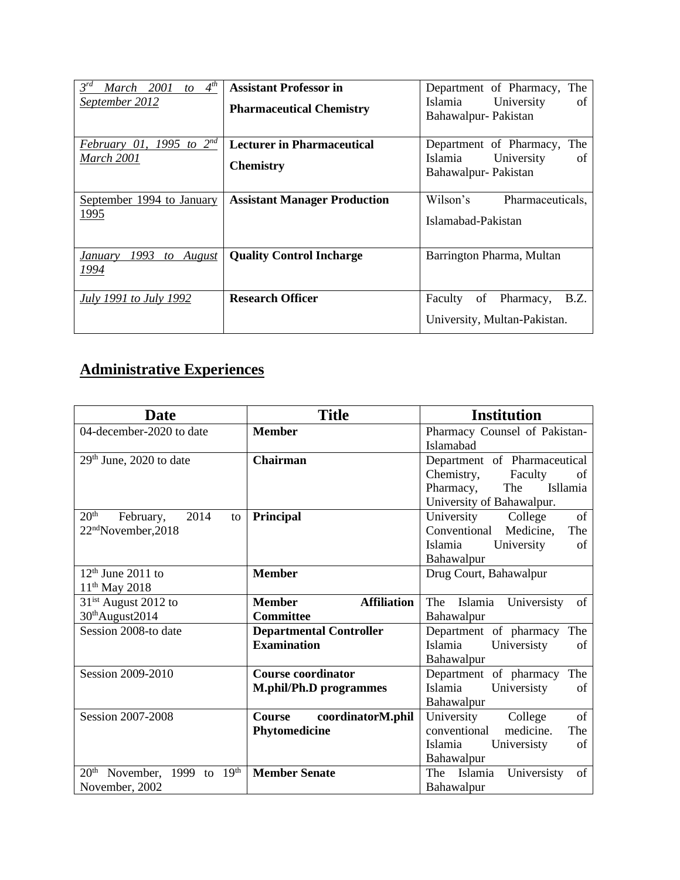| $4^{th}$<br>$3^{rd}$<br>March 2001<br>to<br>September 2012 | <b>Assistant Professor in</b><br><b>Pharmaceutical Chemistry</b> | Department of Pharmacy, The<br>University<br>Islamia<br>of<br>Bahawalpur-Pakistan    |
|------------------------------------------------------------|------------------------------------------------------------------|--------------------------------------------------------------------------------------|
| February 01, 1995 to $2^{nd}$<br>March 2001                | <b>Lecturer in Pharmaceutical</b><br><b>Chemistry</b>            | The<br>Department of Pharmacy,<br>Islamia<br>University<br>of<br>Bahawalpur-Pakistan |
| September 1994 to January<br>1995                          | <b>Assistant Manager Production</b>                              | Wilson's<br>Pharmaceuticals.<br>Islamabad-Pakistan                                   |
| 1993<br>to August<br>January<br>1994                       | <b>Quality Control Incharge</b>                                  | Barrington Pharma, Multan                                                            |
| <i>July 1991 to July 1992</i>                              | <b>Research Officer</b>                                          | B.Z.<br>Pharmacy,<br>Faculty<br>of<br>University, Multan-Pakistan.                   |

# **Administrative Experiences**

| <b>Date</b>                                  | <b>Title</b>                        | <b>Institution</b>               |
|----------------------------------------------|-------------------------------------|----------------------------------|
| 04-december-2020 to date                     | <b>Member</b>                       | Pharmacy Counsel of Pakistan-    |
|                                              |                                     | <b>Islamabad</b>                 |
| $29th$ June, 2020 to date                    | <b>Chairman</b>                     | Department of Pharmaceutical     |
|                                              |                                     | Chemistry,<br>Faculty<br>of      |
|                                              |                                     | The<br>Isllamia<br>Pharmacy,     |
|                                              |                                     | University of Bahawalpur.        |
| 20 <sup>th</sup><br>2014<br>February,<br>to  | Principal                           | of<br>University College         |
| 22 <sup>nd</sup> November, 2018              |                                     | Conventional Medicine,<br>The    |
|                                              |                                     | Islamia<br>University<br>of      |
|                                              |                                     | Bahawalpur                       |
| $12th$ June 2011 to                          | <b>Member</b>                       | Drug Court, Bahawalpur           |
| $11^{th}$ May 2018                           |                                     |                                  |
| 31 <sup>ist</sup> August 2012 to             | <b>Affiliation</b><br><b>Member</b> | Islamia Universisty<br>The<br>of |
| 30 <sup>th</sup> August2014                  | <b>Committee</b>                    | Bahawalpur                       |
| Session 2008-to date                         | <b>Departmental Controller</b>      | Department of pharmacy<br>The    |
|                                              | <b>Examination</b>                  | Islamia<br>Universisty<br>of     |
|                                              |                                     | Bahawalpur                       |
| Session 2009-2010                            | <b>Course coordinator</b>           | Department of pharmacy<br>The    |
|                                              | <b>M.phil/Ph.D programmes</b>       | Islamia<br>Universisty<br>of     |
|                                              |                                     | Bahawalpur                       |
| Session 2007-2008                            | coordinatorM.phil<br>Course         | University<br>of<br>College      |
|                                              | Phytomedicine                       | conventional<br>medicine.<br>The |
|                                              |                                     | Islamia<br>Universisty<br>of     |
|                                              |                                     | Bahawalpur                       |
| 19 <sup>th</sup><br>$20th$ November, 1999 to | <b>Member Senate</b>                | The Islamia<br>Universisty<br>of |
| November, 2002                               |                                     | Bahawalpur                       |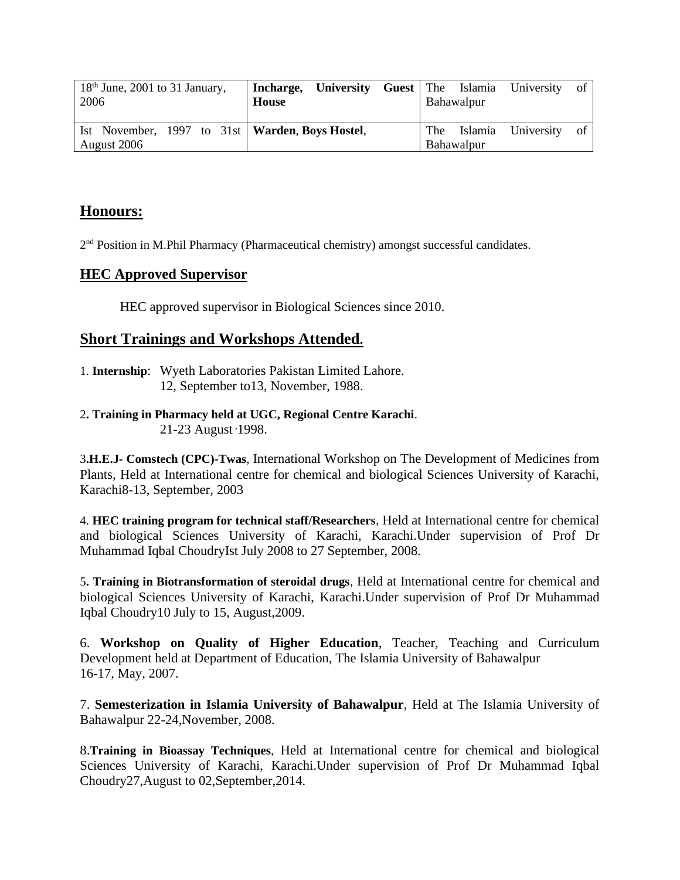| $18th$ June, 2001 to 31 January,<br>2006                         | University<br>Incharge,<br><b>House</b> | <b>Guest</b> The Islamia<br>University<br>-of<br>Bahawalpur |
|------------------------------------------------------------------|-----------------------------------------|-------------------------------------------------------------|
| Ist November, 1997 to 31st   Warden, Boys Hostel,<br>August 2006 |                                         | The Islamia University of<br>Bahawalpur                     |

### **Honours:**

2<sup>nd</sup> Position in M.Phil Pharmacy (Pharmaceutical chemistry) amongst successful candidates.

#### **HEC Approved Supervisor**

HEC approved supervisor in Biological Sciences since 2010.

#### **Short Trainings and Workshops Attended.**

- 1. **Internship**: Wyeth Laboratories Pakistan Limited Lahore. 12, September to13, November, 1988.
- 2**. Training in Pharmacy held at UGC, Regional Centre Karachi**. 21-23 August <sup>1998</sup>.

3**.H.E.J- Comstech (CPC)-Twas**, International Workshop on The Development of Medicines from Plants, Held at International centre for chemical and biological Sciences University of Karachi, Karachi8-13, September, 2003

4. **HEC training program for technical staff/Researchers**, Held at International centre for chemical and biological Sciences University of Karachi, Karachi.Under supervision of Prof Dr Muhammad Iqbal ChoudryIst July 2008 to 27 September, 2008.

5**. Training in Biotransformation of steroidal drugs**, Held at International centre for chemical and biological Sciences University of Karachi, Karachi.Under supervision of Prof Dr Muhammad Iqbal Choudry10 July to 15, August,2009.

6. **Workshop on Quality of Higher Education**, Teacher, Teaching and Curriculum Development held at Department of Education, The Islamia University of Bahawalpur 16-17, May, 2007.

7. **Semesterization in Islamia University of Bahawalpur**, Held at The Islamia University of Bahawalpur 22-24,November, 2008.

8.**Training in Bioassay Techniques**, Held at International centre for chemical and biological Sciences University of Karachi, Karachi.Under supervision of Prof Dr Muhammad Iqbal Choudry27,August to 02,September,2014.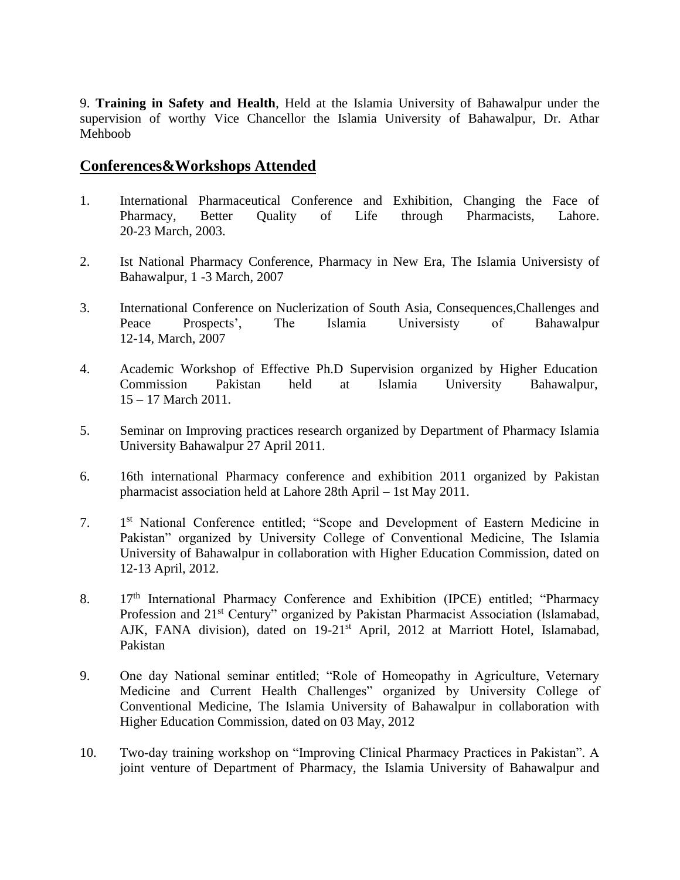9. **Training in Safety and Health**, Held at the Islamia University of Bahawalpur under the supervision of worthy Vice Chancellor the Islamia University of Bahawalpur, Dr. Athar Mehboob

#### **Conferences&Workshops Attended**

- 1. International Pharmaceutical Conference and Exhibition, Changing the Face of Pharmacy, Better Quality of Life through Pharmacists, Lahore. 20-23 March, 2003.
- 2. Ist National Pharmacy Conference, Pharmacy in New Era, The Islamia Universisty of Bahawalpur, 1 -3 March, 2007
- 3. International Conference on Nuclerization of South Asia, Consequences,Challenges and Peace Prospects', The Islamia Universisty of Bahawalpur 12-14, March, 2007
- 4. Academic Workshop of Effective Ph.D Supervision organized by Higher Education Commission Pakistan held at Islamia University Bahawalpur, 15 – 17 March 2011.
- 5. Seminar on Improving practices research organized by Department of Pharmacy Islamia University Bahawalpur 27 April 2011.
- 6. 16th international Pharmacy conference and exhibition 2011 organized by Pakistan pharmacist association held at Lahore 28th April – 1st May 2011.
- $7<sub>1</sub>$ 1<sup>st</sup> National Conference entitled; "Scope and Development of Eastern Medicine in Pakistan" organized by University College of Conventional Medicine, The Islamia University of Bahawalpur in collaboration with Higher Education Commission, dated on 12-13 April, 2012.
- 8. 17<sup>th</sup> International Pharmacy Conference and Exhibition (IPCE) entitled; "Pharmacy Profession and 21<sup>st</sup> Century" organized by Pakistan Pharmacist Association (Islamabad, AJK, FANA division), dated on 19-21<sup>st</sup> April, 2012 at Marriott Hotel, Islamabad, Pakistan
- 9. One day National seminar entitled; "Role of Homeopathy in Agriculture, Veternary Medicine and Current Health Challenges" organized by University College of Conventional Medicine, The Islamia University of Bahawalpur in collaboration with Higher Education Commission, dated on 03 May, 2012
- 10. Two-day training workshop on "Improving Clinical Pharmacy Practices in Pakistan". A joint venture of Department of Pharmacy, the Islamia University of Bahawalpur and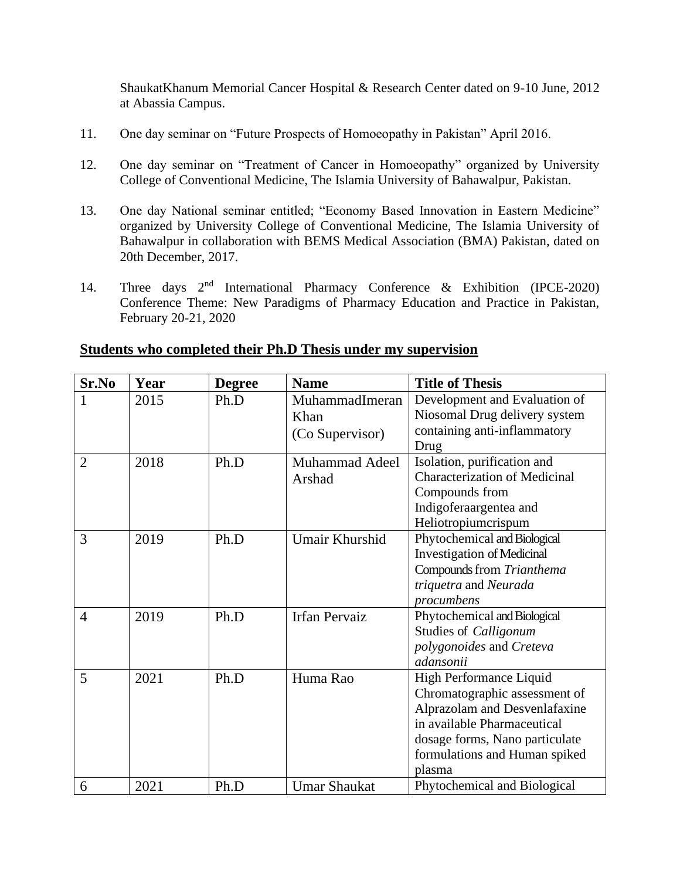ShaukatKhanum Memorial Cancer Hospital & Research Center dated on 9-10 June, 2012 at Abassia Campus.

- 11. One day seminar on "Future Prospects of Homoeopathy in Pakistan" April 2016.
- 12. One day seminar on "Treatment of Cancer in Homoeopathy" organized by University College of Conventional Medicine, The Islamia University of Bahawalpur, Pakistan.
- 13. One day National seminar entitled; "Economy Based Innovation in Eastern Medicine" organized by University College of Conventional Medicine, The Islamia University of Bahawalpur in collaboration with BEMS Medical Association (BMA) Pakistan, dated on 20th December, 2017.
- 14. Three days 2<sup>nd</sup> International Pharmacy Conference & Exhibition (IPCE-2020) Conference Theme: New Paradigms of Pharmacy Education and Practice in Pakistan, February 20-21, 2020

| Sr.No          | Year | <b>Degree</b> | <b>Name</b>                               | <b>Title of Thesis</b>                                                                                                                                                                                |
|----------------|------|---------------|-------------------------------------------|-------------------------------------------------------------------------------------------------------------------------------------------------------------------------------------------------------|
| 1              | 2015 | Ph.D          | MuhammadImeran<br>Khan<br>(Co Supervisor) | Development and Evaluation of<br>Niosomal Drug delivery system<br>containing anti-inflammatory<br>Drug                                                                                                |
| $\overline{2}$ | 2018 | Ph.D          | <b>Muhammad Adeel</b><br>Arshad           | Isolation, purification and<br><b>Characterization of Medicinal</b><br>Compounds from<br>Indigoferaargentea and<br>Heliotropiumcrispum                                                                |
| 3              | 2019 | Ph.D          | Umair Khurshid                            | Phytochemical and Biological<br><b>Investigation of Medicinal</b><br>Compounds from Trianthema<br>triquetra and Neurada<br>procumbens                                                                 |
| $\overline{4}$ | 2019 | Ph.D          | <b>Irfan Pervaiz</b>                      | Phytochemical and Biological<br>Studies of Calligonum<br>polygonoides and Creteva<br>adansonii                                                                                                        |
| 5              | 2021 | Ph.D          | Huma Rao                                  | High Performance Liquid<br>Chromatographic assessment of<br>Alprazolam and Desvenlafaxine<br>in available Pharmaceutical<br>dosage forms, Nano particulate<br>formulations and Human spiked<br>plasma |
| 6              | 2021 | Ph.D          | <b>Umar Shaukat</b>                       | Phytochemical and Biological                                                                                                                                                                          |

#### **Students who completed their Ph.D Thesis under my supervision**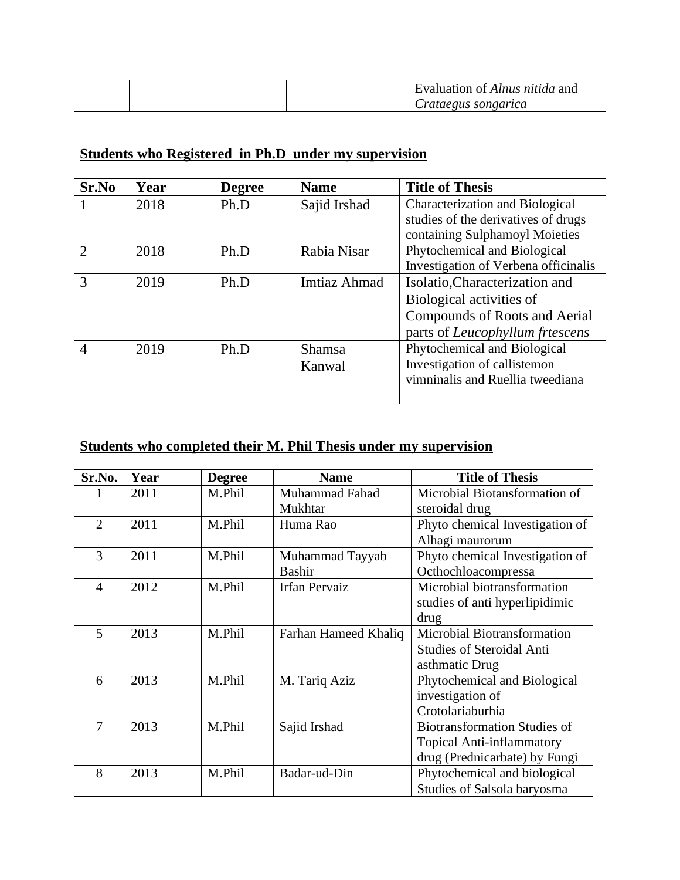|  |  | Evaluation of Alnus nitida and |
|--|--|--------------------------------|
|  |  | Crataegus songarica            |

## **Students who Registered in Ph.D under my supervision**

| Sr.No          | Year | <b>Degree</b> | <b>Name</b>  | <b>Title of Thesis</b>                 |
|----------------|------|---------------|--------------|----------------------------------------|
|                | 2018 | Ph.D          | Sajid Irshad | <b>Characterization and Biological</b> |
|                |      |               |              | studies of the derivatives of drugs    |
|                |      |               |              | containing Sulphamoyl Moieties         |
| $\mathcal{D}$  | 2018 | Ph.D          | Rabia Nisar  | Phytochemical and Biological           |
|                |      |               |              | Investigation of Verbena officinalis   |
| 3              | 2019 | Ph.D          | Imtiaz Ahmad | Isolatio, Characterization and         |
|                |      |               |              | Biological activities of               |
|                |      |               |              | Compounds of Roots and Aerial          |
|                |      |               |              | parts of Leucophyllum frtescens        |
| $\overline{4}$ | 2019 | Ph.D          | Shamsa       | Phytochemical and Biological           |
|                |      |               | Kanwal       | Investigation of callistemon           |
|                |      |               |              | vimninalis and Ruellia tweediana       |
|                |      |               |              |                                        |

## **Students who completed their M. Phil Thesis under my supervision**

| Sr.No.         | Year | <b>Degree</b> | <b>Name</b>           | <b>Title of Thesis</b>              |
|----------------|------|---------------|-----------------------|-------------------------------------|
|                | 2011 | M.Phil        | <b>Muhammad Fahad</b> | Microbial Biotansformation of       |
|                |      |               | Mukhtar               | steroidal drug                      |
| $\overline{2}$ | 2011 | M.Phil        | Huma Rao              | Phyto chemical Investigation of     |
|                |      |               |                       | Alhagi maurorum                     |
| 3              | 2011 | M.Phil        | Muhammad Tayyab       | Phyto chemical Investigation of     |
|                |      |               | <b>Bashir</b>         | Octhochloacompressa                 |
| 4              | 2012 | M.Phil        | <b>Irfan Pervaiz</b>  | Microbial biotransformation         |
|                |      |               |                       | studies of anti hyperlipidimic      |
|                |      |               |                       | drug                                |
| 5              | 2013 | M.Phil        | Farhan Hameed Khaliq  | Microbial Biotransformation         |
|                |      |               |                       | <b>Studies of Steroidal Anti</b>    |
|                |      |               |                       | asthmatic Drug                      |
| 6              | 2013 | M.Phil        | M. Tariq Aziz         | Phytochemical and Biological        |
|                |      |               |                       | investigation of                    |
|                |      |               |                       | Crotolariaburhia                    |
| 7              | 2013 | M.Phil        | Sajid Irshad          | <b>Biotransformation Studies of</b> |
|                |      |               |                       | <b>Topical Anti-inflammatory</b>    |
|                |      |               |                       | drug (Prednicarbate) by Fungi       |
| 8              | 2013 | M.Phil        | Badar-ud-Din          | Phytochemical and biological        |
|                |      |               |                       | Studies of Salsola baryosma         |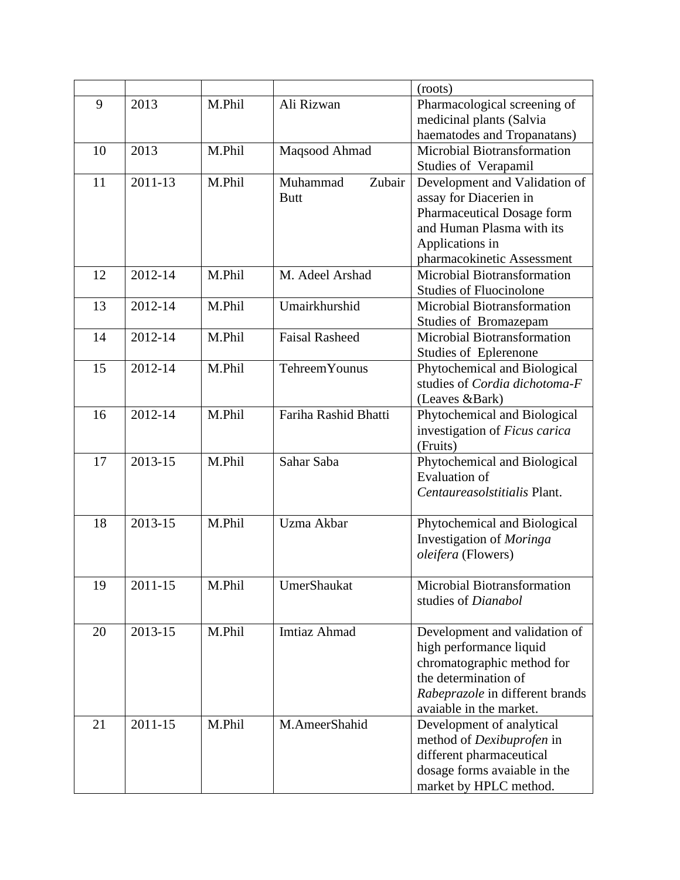|    |             |        |                       | (roots)                                               |
|----|-------------|--------|-----------------------|-------------------------------------------------------|
| 9  | 2013        | M.Phil | Ali Rizwan            | Pharmacological screening of                          |
|    |             |        |                       | medicinal plants (Salvia                              |
|    |             |        |                       | haematodes and Tropanatans)                           |
| 10 | 2013        | M.Phil | Maqsood Ahmad         | Microbial Biotransformation                           |
|    |             |        |                       | Studies of Verapamil                                  |
| 11 | 2011-13     | M.Phil | Muhammad<br>Zubair    | Development and Validation of                         |
|    |             |        | <b>Butt</b>           | assay for Diacerien in                                |
|    |             |        |                       | Pharmaceutical Dosage form                            |
|    |             |        |                       | and Human Plasma with its                             |
|    |             |        |                       | Applications in                                       |
|    |             |        |                       | pharmacokinetic Assessment                            |
| 12 | 2012-14     | M.Phil | M. Adeel Arshad       | Microbial Biotransformation                           |
|    |             |        |                       | <b>Studies of Fluocinolone</b>                        |
| 13 | 2012-14     | M.Phil | Umairkhurshid         | Microbial Biotransformation                           |
|    | 2012-14     | M.Phil | <b>Faisal Rasheed</b> | Studies of Bromazepam<br>Microbial Biotransformation  |
| 14 |             |        |                       |                                                       |
| 15 | 2012-14     | M.Phil | <b>Tehreem Younus</b> | Studies of Eplerenone<br>Phytochemical and Biological |
|    |             |        |                       | studies of Cordia dichotoma-F                         |
|    |             |        |                       | (Leaves &Bark)                                        |
| 16 | 2012-14     | M.Phil | Fariha Rashid Bhatti  | Phytochemical and Biological                          |
|    |             |        |                       | investigation of Ficus carica                         |
|    |             |        |                       | (Fruits)                                              |
| 17 | 2013-15     | M.Phil | Sahar Saba            | Phytochemical and Biological                          |
|    |             |        |                       | <b>Evaluation of</b>                                  |
|    |             |        |                       | Centaureasolstitialis Plant.                          |
|    |             |        |                       |                                                       |
| 18 | 2013-15     | M.Phil | Uzma Akbar            | Phytochemical and Biological                          |
|    |             |        |                       | Investigation of Moringa                              |
|    |             |        |                       | oleifera (Flowers)                                    |
|    |             |        |                       |                                                       |
| 19 | 2011-15     | M.Phil | UmerShaukat           | Microbial Biotransformation                           |
|    |             |        |                       | studies of Dianabol                                   |
|    |             |        |                       |                                                       |
| 20 | 2013-15     | M.Phil | Imtiaz Ahmad          | Development and validation of                         |
|    |             |        |                       | high performance liquid                               |
|    |             |        |                       | chromatographic method for<br>the determination of    |
|    |             |        |                       | Rabeprazole in different brands                       |
|    |             |        |                       | avaiable in the market.                               |
| 21 | $2011 - 15$ | M.Phil | M.AmeerShahid         | Development of analytical                             |
|    |             |        |                       | method of Dexibuprofen in                             |
|    |             |        |                       | different pharmaceutical                              |
|    |             |        |                       | dosage forms avaiable in the                          |
|    |             |        |                       | market by HPLC method.                                |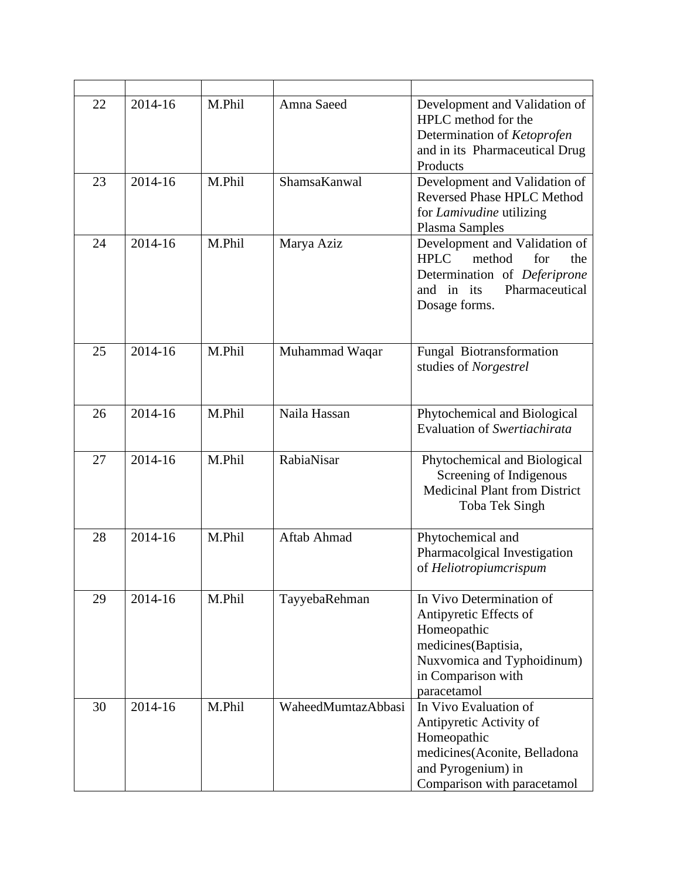| 22 | 2014-16 | M.Phil | Amna Saeed         | Development and Validation of<br>HPLC method for the<br>Determination of Ketoprofen<br>and in its Pharmaceutical Drug<br>Products                           |
|----|---------|--------|--------------------|-------------------------------------------------------------------------------------------------------------------------------------------------------------|
| 23 | 2014-16 | M.Phil | ShamsaKanwal       | Development and Validation of<br><b>Reversed Phase HPLC Method</b><br>for <i>Lamivudine</i> utilizing<br>Plasma Samples                                     |
| 24 | 2014-16 | M.Phil | Marya Aziz         | Development and Validation of<br><b>HPLC</b><br>method<br>for<br>the<br>Determination of Deferiprone<br>and in its<br>Pharmaceutical<br>Dosage forms.       |
| 25 | 2014-16 | M.Phil | Muhammad Waqar     | Fungal Biotransformation<br>studies of Norgestrel                                                                                                           |
| 26 | 2014-16 | M.Phil | Naila Hassan       | Phytochemical and Biological<br>Evaluation of Swertiachirata                                                                                                |
| 27 | 2014-16 | M.Phil | RabiaNisar         | Phytochemical and Biological<br>Screening of Indigenous<br><b>Medicinal Plant from District</b><br>Toba Tek Singh                                           |
| 28 | 2014-16 | M.Phil | Aftab Ahmad        | Phytochemical and<br>Pharmacolgical Investigation<br>of Heliotropiumcrispum                                                                                 |
| 29 | 2014-16 | M.Phil | TayyebaRehman      | In Vivo Determination of<br>Antipyretic Effects of<br>Homeopathic<br>medicines(Baptisia,<br>Nuxvomica and Typhoidinum)<br>in Comparison with<br>paracetamol |
| 30 | 2014-16 | M.Phil | WaheedMumtazAbbasi | In Vivo Evaluation of<br>Antipyretic Activity of<br>Homeopathic<br>medicines(Aconite, Belladona<br>and Pyrogenium) in<br>Comparison with paracetamol        |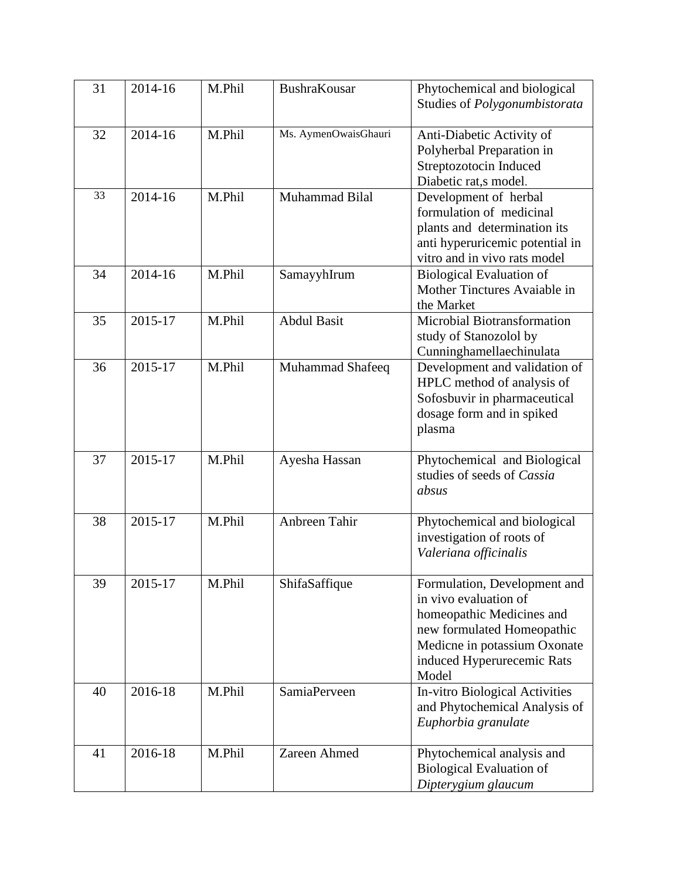| 31 | 2014-16 | M.Phil | <b>BushraKousar</b>  | Phytochemical and biological<br>Studies of Polygonumbistorata                                                                                                                           |
|----|---------|--------|----------------------|-----------------------------------------------------------------------------------------------------------------------------------------------------------------------------------------|
| 32 | 2014-16 | M.Phil | Ms. AymenOwaisGhauri | Anti-Diabetic Activity of<br>Polyherbal Preparation in<br>Streptozotocin Induced<br>Diabetic rat,s model.                                                                               |
| 33 | 2014-16 | M.Phil | Muhammad Bilal       | Development of herbal<br>formulation of medicinal<br>plants and determination its<br>anti hyperuricemic potential in<br>vitro and in vivo rats model                                    |
| 34 | 2014-16 | M.Phil | SamayyhIrum          | <b>Biological Evaluation of</b><br>Mother Tinctures Avaiable in<br>the Market                                                                                                           |
| 35 | 2015-17 | M.Phil | <b>Abdul Basit</b>   | Microbial Biotransformation<br>study of Stanozolol by<br>Cunninghamellaechinulata                                                                                                       |
| 36 | 2015-17 | M.Phil | Muhammad Shafeeq     | Development and validation of<br>HPLC method of analysis of<br>Sofosbuvir in pharmaceutical<br>dosage form and in spiked<br>plasma                                                      |
| 37 | 2015-17 | M.Phil | Ayesha Hassan        | Phytochemical and Biological<br>studies of seeds of Cassia<br>absus                                                                                                                     |
| 38 | 2015-17 | M.Phil | Anbreen Tahir        | Phytochemical and biological<br>investigation of roots of<br>Valeriana officinalis                                                                                                      |
| 39 | 2015-17 | M.Phil | ShifaSaffique        | Formulation, Development and<br>in vivo evaluation of<br>homeopathic Medicines and<br>new formulated Homeopathic<br>Medicne in potassium Oxonate<br>induced Hyperurecemic Rats<br>Model |
| 40 | 2016-18 | M.Phil | SamiaPerveen         | In-vitro Biological Activities<br>and Phytochemical Analysis of<br>Euphorbia granulate                                                                                                  |
| 41 | 2016-18 | M.Phil | Zareen Ahmed         | Phytochemical analysis and<br><b>Biological Evaluation of</b><br>Dipterygium glaucum                                                                                                    |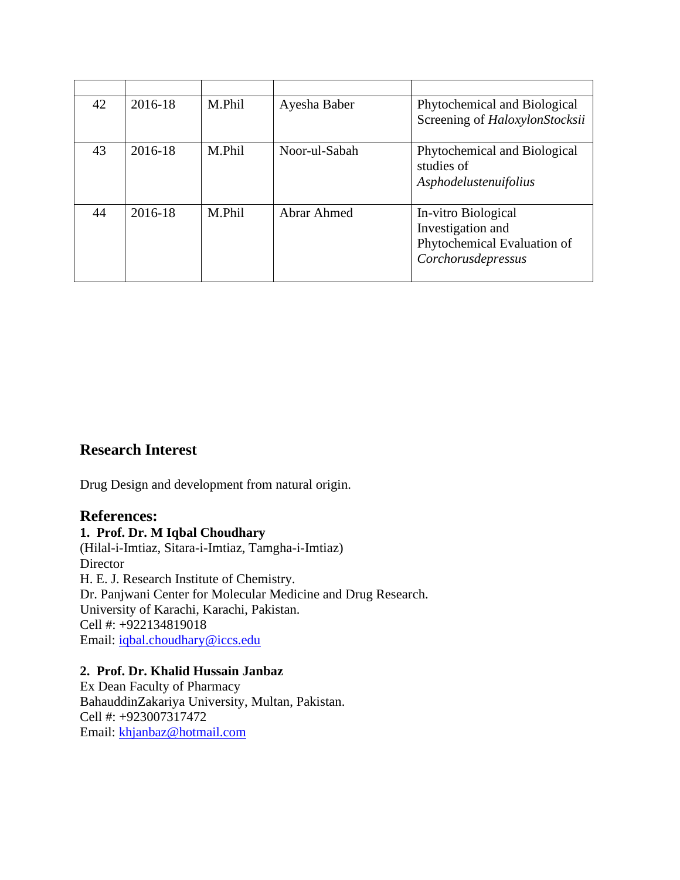| 42 | 2016-18 | M.Phil | Ayesha Baber  | Phytochemical and Biological<br>Screening of HaloxylonStocksii                                |
|----|---------|--------|---------------|-----------------------------------------------------------------------------------------------|
| 43 | 2016-18 | M.Phil | Noor-ul-Sabah | Phytochemical and Biological<br>studies of<br>Asphodelustenuifolius                           |
| 44 | 2016-18 | M.Phil | Abrar Ahmed   | In-vitro Biological<br>Investigation and<br>Phytochemical Evaluation of<br>Corchorusdepressus |

## **Research Interest**

Drug Design and development from natural origin.

#### **References:**

**1. Prof. Dr. M Iqbal Choudhary** (Hilal-i-Imtiaz, Sitara-i-Imtiaz, Tamgha-i-Imtiaz) **Director** H. E. J. Research Institute of Chemistry. Dr. Panjwani Center for Molecular Medicine and Drug Research. University of Karachi, Karachi, Pakistan. Cell #: +922134819018 Email: [iqbal.choudhary@iccs.edu](mailto:iqbal.choudhary@iccs.edu)

#### **2. Prof. Dr. Khalid Hussain Janbaz**

Ex Dean Faculty of Pharmacy BahauddinZakariya University, Multan, Pakistan. Cell #: +923007317472 Email: [khjanbaz@hotmail.com](mailto:khjanbaz@hotmail.com)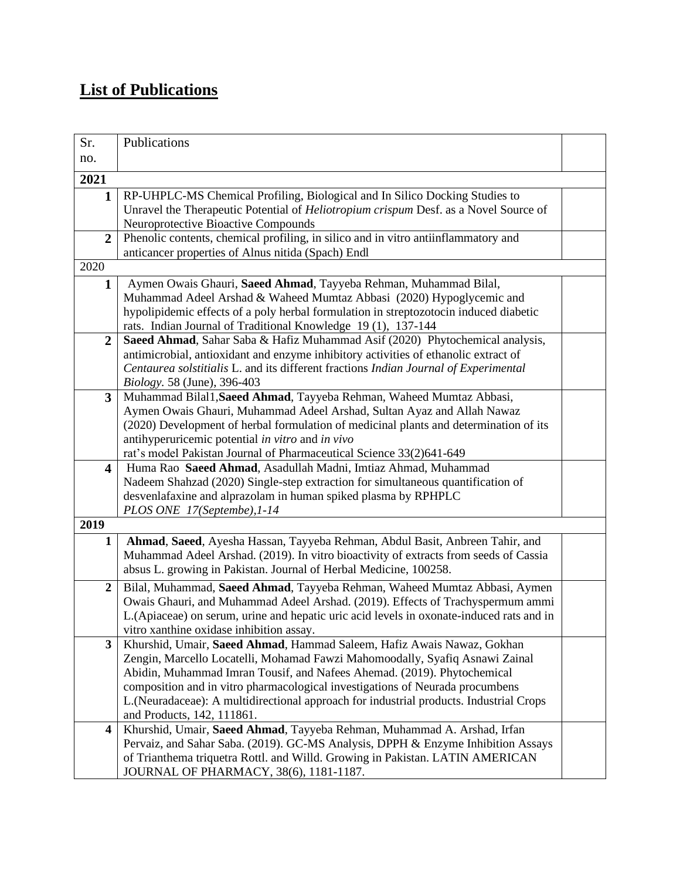# **List of Publications**

| Sr.                     | Publications                                                                                                                                                             |  |
|-------------------------|--------------------------------------------------------------------------------------------------------------------------------------------------------------------------|--|
| no.                     |                                                                                                                                                                          |  |
| 2021                    |                                                                                                                                                                          |  |
| 1                       | RP-UHPLC-MS Chemical Profiling, Biological and In Silico Docking Studies to                                                                                              |  |
|                         | Unravel the Therapeutic Potential of <i>Heliotropium crispum</i> Desf. as a Novel Source of                                                                              |  |
|                         | Neuroprotective Bioactive Compounds                                                                                                                                      |  |
| $\overline{2}$          | Phenolic contents, chemical profiling, in silico and in vitro antiinflammatory and<br>anticancer properties of Alnus nitida (Spach) Endl                                 |  |
| 2020                    |                                                                                                                                                                          |  |
| 1                       | Aymen Owais Ghauri, Saeed Ahmad, Tayyeba Rehman, Muhammad Bilal,                                                                                                         |  |
|                         | Muhammad Adeel Arshad & Waheed Mumtaz Abbasi (2020) Hypoglycemic and                                                                                                     |  |
|                         | hypolipidemic effects of a poly herbal formulation in streptozotocin induced diabetic                                                                                    |  |
|                         | rats. Indian Journal of Traditional Knowledge 19 (1), 137-144                                                                                                            |  |
| $\overline{2}$          | Saeed Ahmad, Sahar Saba & Hafiz Muhammad Asif (2020) Phytochemical analysis,                                                                                             |  |
|                         | antimicrobial, antioxidant and enzyme inhibitory activities of ethanolic extract of                                                                                      |  |
|                         | Centaurea solstitialis L. and its different fractions Indian Journal of Experimental                                                                                     |  |
|                         | <i>Biology.</i> 58 (June), 396-403                                                                                                                                       |  |
| 3                       | Muhammad Bilal1, Saeed Ahmad, Tayyeba Rehman, Waheed Mumtaz Abbasi,<br>Aymen Owais Ghauri, Muhammad Adeel Arshad, Sultan Ayaz and Allah Nawaz                            |  |
|                         | (2020) Development of herbal formulation of medicinal plants and determination of its                                                                                    |  |
|                         | antihyperuricemic potential in vitro and in vivo                                                                                                                         |  |
|                         | rat's model Pakistan Journal of Pharmaceutical Science 33(2)641-649                                                                                                      |  |
| $\overline{\mathbf{4}}$ | Huma Rao Saeed Ahmad, Asadullah Madni, Imtiaz Ahmad, Muhammad                                                                                                            |  |
|                         | Nadeem Shahzad (2020) Single-step extraction for simultaneous quantification of                                                                                          |  |
|                         | desvenlafaxine and alprazolam in human spiked plasma by RPHPLC                                                                                                           |  |
| 2019                    | PLOS ONE 17(Septembe), 1-14                                                                                                                                              |  |
|                         |                                                                                                                                                                          |  |
| $\mathbf{1}$            | Ahmad, Saeed, Ayesha Hassan, Tayyeba Rehman, Abdul Basit, Anbreen Tahir, and<br>Muhammad Adeel Arshad. (2019). In vitro bioactivity of extracts from seeds of Cassia     |  |
|                         | absus L. growing in Pakistan. Journal of Herbal Medicine, 100258.                                                                                                        |  |
| $\boldsymbol{2}$        | Bilal, Muhammad, Saeed Ahmad, Tayyeba Rehman, Waheed Mumtaz Abbasi, Aymen                                                                                                |  |
|                         | Owais Ghauri, and Muhammad Adeel Arshad. (2019). Effects of Trachyspermum ammi                                                                                           |  |
|                         | L.(Apiaceae) on serum, urine and hepatic uric acid levels in oxonate-induced rats and in                                                                                 |  |
|                         | vitro xanthine oxidase inhibition assay.                                                                                                                                 |  |
| 3                       | Khurshid, Umair, Saeed Ahmad, Hammad Saleem, Hafiz Awais Nawaz, Gokhan                                                                                                   |  |
|                         | Zengin, Marcello Locatelli, Mohamad Fawzi Mahomoodally, Syafiq Asnawi Zainal                                                                                             |  |
|                         | Abidin, Muhammad Imran Tousif, and Nafees Ahemad. (2019). Phytochemical                                                                                                  |  |
|                         | composition and in vitro pharmacological investigations of Neurada procumbens<br>L. (Neuradaceae): A multidirectional approach for industrial products. Industrial Crops |  |
|                         | and Products, 142, 111861.                                                                                                                                               |  |
| $\overline{\mathbf{4}}$ | Khurshid, Umair, Saeed Ahmad, Tayyeba Rehman, Muhammad A. Arshad, Irfan                                                                                                  |  |
|                         | Pervaiz, and Sahar Saba. (2019). GC-MS Analysis, DPPH & Enzyme Inhibition Assays                                                                                         |  |
|                         | of Trianthema triquetra Rottl. and Willd. Growing in Pakistan. LATIN AMERICAN                                                                                            |  |
|                         | JOURNAL OF PHARMACY, 38(6), 1181-1187.                                                                                                                                   |  |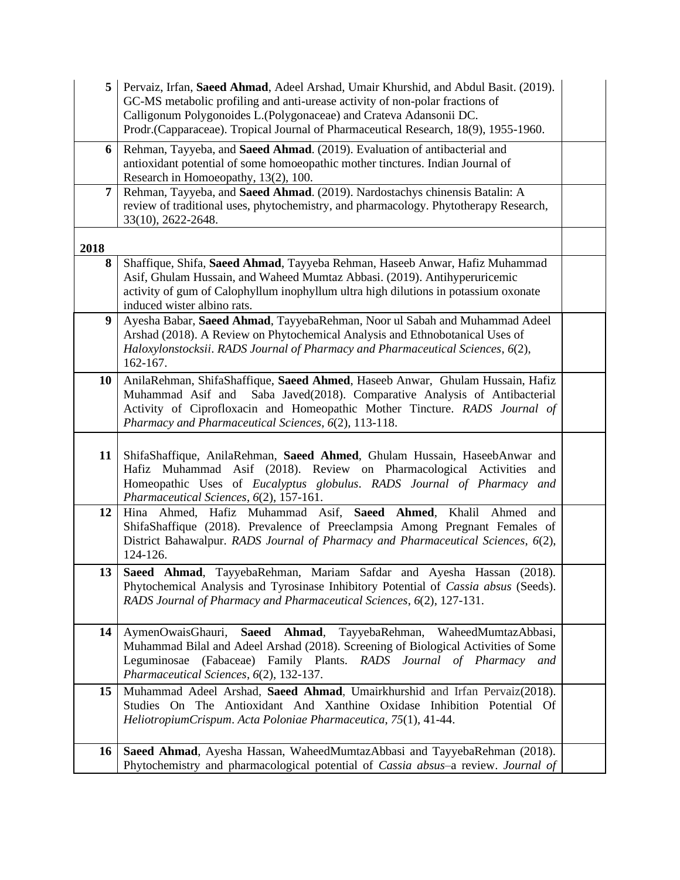| 5    | Pervaiz, Irfan, Saeed Ahmad, Adeel Arshad, Umair Khurshid, and Abdul Basit. (2019).<br>GC-MS metabolic profiling and anti-urease activity of non-polar fractions of<br>Calligonum Polygonoides L. (Polygonaceae) and Crateva Adansonii DC.<br>Prodr.(Capparaceae). Tropical Journal of Pharmaceutical Research, 18(9), 1955-1960. |  |
|------|-----------------------------------------------------------------------------------------------------------------------------------------------------------------------------------------------------------------------------------------------------------------------------------------------------------------------------------|--|
| 6    | Rehman, Tayyeba, and Saeed Ahmad. (2019). Evaluation of antibacterial and<br>antioxidant potential of some homoeopathic mother tinctures. Indian Journal of<br>Research in Homoeopathy, 13(2), 100.                                                                                                                               |  |
| 7    | Rehman, Tayyeba, and Saeed Ahmad. (2019). Nardostachys chinensis Batalin: A<br>review of traditional uses, phytochemistry, and pharmacology. Phytotherapy Research,<br>33(10), 2622-2648.                                                                                                                                         |  |
| 2018 |                                                                                                                                                                                                                                                                                                                                   |  |
| 8    | Shaffique, Shifa, Saeed Ahmad, Tayyeba Rehman, Haseeb Anwar, Hafiz Muhammad<br>Asif, Ghulam Hussain, and Waheed Mumtaz Abbasi. (2019). Antihyperuricemic<br>activity of gum of Calophyllum inophyllum ultra high dilutions in potassium oxonate<br>induced wister albino rats.                                                    |  |
| 9    | Ayesha Babar, Saeed Ahmad, TayyebaRehman, Noor ul Sabah and Muhammad Adeel<br>Arshad (2018). A Review on Phytochemical Analysis and Ethnobotanical Uses of<br>Haloxylonstocksii. RADS Journal of Pharmacy and Pharmaceutical Sciences, 6(2),<br>162-167.                                                                          |  |
| 10   | AnilaRehman, ShifaShaffique, Saeed Ahmed, Haseeb Anwar, Ghulam Hussain, Hafiz<br>Muhammad Asif and<br>Saba Javed(2018). Comparative Analysis of Antibacterial<br>Activity of Ciprofloxacin and Homeopathic Mother Tincture. RADS Journal of<br>Pharmacy and Pharmaceutical Sciences, 6(2), 113-118.                               |  |
| 11   | ShifaShaffique, AnilaRehman, Saeed Ahmed, Ghulam Hussain, HaseebAnwar and<br>Hafiz Muhammad Asif (2018). Review on Pharmacological Activities<br>and<br>Homeopathic Uses of Eucalyptus globulus. RADS Journal of Pharmacy and<br>Pharmaceutical Sciences, 6(2), 157-161.                                                          |  |
| 12   | Hina Ahmed, Hafiz Muhammad Asif, Saeed Ahmed, Khalil Ahmed<br>and<br>ShifaShaffique (2018). Prevalence of Preeclampsia Among Pregnant Females of<br>District Bahawalpur. RADS Journal of Pharmacy and Pharmaceutical Sciences, 6(2),<br>124-126.                                                                                  |  |
| 13   | Saeed Ahmad, TayyebaRehman, Mariam Safdar and Ayesha Hassan<br>(2018).<br>Phytochemical Analysis and Tyrosinase Inhibitory Potential of Cassia absus (Seeds).<br>RADS Journal of Pharmacy and Pharmaceutical Sciences, 6(2), 127-131.                                                                                             |  |
| 14   | AymenOwaisGhauri, Saeed Ahmad, TayyebaRehman, WaheedMumtazAbbasi,<br>Muhammad Bilal and Adeel Arshad (2018). Screening of Biological Activities of Some<br>(Fabaceae) Family Plants. RADS Journal of Pharmacy and<br>Leguminosae<br>Pharmaceutical Sciences, 6(2), 132-137.                                                       |  |
| 15   | Muhammad Adeel Arshad, Saeed Ahmad, Umairkhurshid and Irfan Pervaiz(2018).<br>Studies On The Antioxidant And Xanthine Oxidase Inhibition Potential Of<br>HeliotropiumCrispum. Acta Poloniae Pharmaceutica, 75(1), 41-44.                                                                                                          |  |
| 16   | Saeed Ahmad, Ayesha Hassan, WaheedMumtazAbbasi and TayyebaRehman (2018).<br>Phytochemistry and pharmacological potential of Cassia absus-a review. Journal of                                                                                                                                                                     |  |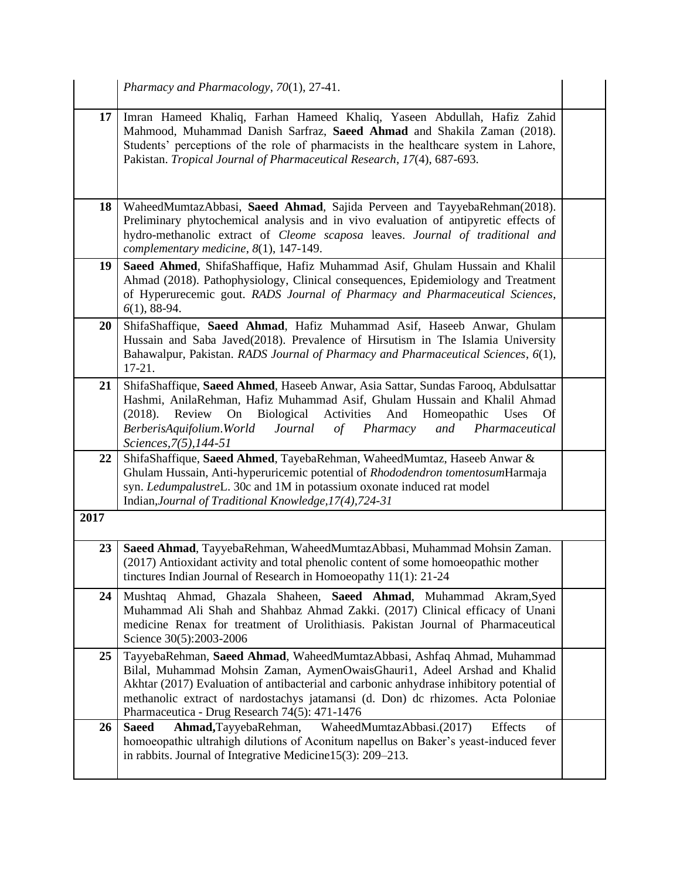|      | Pharmacy and Pharmacology, 70(1), 27-41.                                                                                                                                                                                                                                                                                                                                            |  |
|------|-------------------------------------------------------------------------------------------------------------------------------------------------------------------------------------------------------------------------------------------------------------------------------------------------------------------------------------------------------------------------------------|--|
| 17   | Imran Hameed Khaliq, Farhan Hameed Khaliq, Yaseen Abdullah, Hafiz Zahid<br>Mahmood, Muhammad Danish Sarfraz, Saeed Ahmad and Shakila Zaman (2018).<br>Students' perceptions of the role of pharmacists in the healthcare system in Lahore,<br>Pakistan. Tropical Journal of Pharmaceutical Research, 17(4), 687-693.                                                                |  |
| 18   | WaheedMumtazAbbasi, Saeed Ahmad, Sajida Perveen and TayyebaRehman(2018).<br>Preliminary phytochemical analysis and in vivo evaluation of antipyretic effects of<br>hydro-methanolic extract of Cleome scaposa leaves. Journal of traditional and<br>complementary medicine, 8(1), 147-149.                                                                                          |  |
| 19   | Saeed Ahmed, ShifaShaffique, Hafiz Muhammad Asif, Ghulam Hussain and Khalil<br>Ahmad (2018). Pathophysiology, Clinical consequences, Epidemiology and Treatment<br>of Hyperurecemic gout. RADS Journal of Pharmacy and Pharmaceutical Sciences,<br>$6(1)$ , 88-94.                                                                                                                  |  |
| 20   | ShifaShaffique, Saeed Ahmad, Hafiz Muhammad Asif, Haseeb Anwar, Ghulam<br>Hussain and Saba Javed(2018). Prevalence of Hirsutism in The Islamia University<br>Bahawalpur, Pakistan. RADS Journal of Pharmacy and Pharmaceutical Sciences, 6(1),<br>$17-21.$                                                                                                                          |  |
| 21   | ShifaShaffique, Saeed Ahmed, Haseeb Anwar, Asia Sattar, Sundas Farooq, Abdulsattar<br>Hashmi, AnilaRehman, Hafiz Muhammad Asif, Ghulam Hussain and Khalil Ahmad<br>(2018). Review On Biological Activities And Homeopathic Uses<br><b>Of</b><br>Journal<br>of Pharmacy<br>BerberisAquifolium.World<br>and<br>Pharmaceutical<br>Sciences, 7(5), 144-51                               |  |
| 22   | ShifaShaffique, Saeed Ahmed, TayebaRehman, WaheedMumtaz, Haseeb Anwar &<br>Ghulam Hussain, Anti-hyperuricemic potential of Rhododendron tomentosumHarmaja<br>syn. LedumpalustreL. 30c and 1M in potassium oxonate induced rat model<br>Indian, Journal of Traditional Knowledge, 17(4), 724-31                                                                                      |  |
| 2017 |                                                                                                                                                                                                                                                                                                                                                                                     |  |
| 23   | Saeed Ahmad, TayyebaRehman, WaheedMumtazAbbasi, Muhammad Mohsin Zaman.<br>(2017) Antioxidant activity and total phenolic content of some homoeopathic mother<br>tinctures Indian Journal of Research in Homoeopathy 11(1): 21-24                                                                                                                                                    |  |
| 24   | Mushtaq Ahmad, Ghazala Shaheen, Saeed Ahmad, Muhammad Akram, Syed<br>Muhammad Ali Shah and Shahbaz Ahmad Zakki. (2017) Clinical efficacy of Unani<br>medicine Renax for treatment of Urolithiasis. Pakistan Journal of Pharmaceutical<br>Science 30(5):2003-2006                                                                                                                    |  |
| 25   | TayyebaRehman, Saeed Ahmad, WaheedMumtazAbbasi, Ashfaq Ahmad, Muhammad<br>Bilal, Muhammad Mohsin Zaman, AymenOwaisGhauri1, Adeel Arshad and Khalid<br>Akhtar (2017) Evaluation of antibacterial and carbonic anhydrase inhibitory potential of<br>methanolic extract of nardostachys jatamansi (d. Don) dc rhizomes. Acta Poloniae<br>Pharmaceutica - Drug Research 74(5): 471-1476 |  |
| 26   | <b>Saeed</b><br>WaheedMumtazAbbasi.(2017)<br>Effects<br>of<br>Ahmad, TayyebaRehman,<br>homoeopathic ultrahigh dilutions of Aconitum napellus on Baker's yeast-induced fever<br>in rabbits. Journal of Integrative Medicine $15(3)$ : 209–213.                                                                                                                                       |  |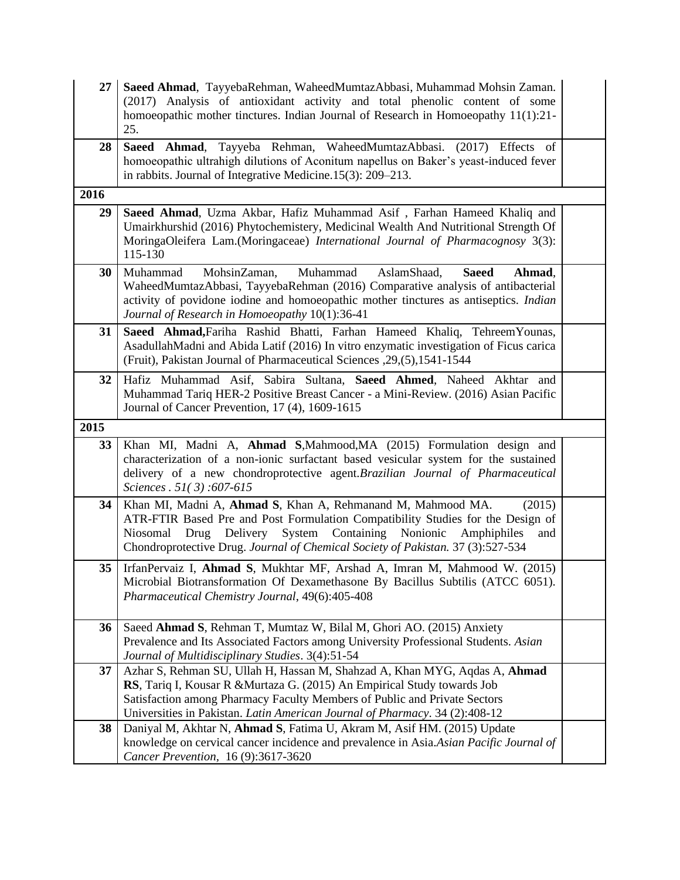| 27   | Saeed Ahmad, TayyebaRehman, WaheedMumtazAbbasi, Muhammad Mohsin Zaman.<br>(2017) Analysis of antioxidant activity and total phenolic content of some<br>homoeopathic mother tinctures. Indian Journal of Research in Homoeopathy $11(1):21$ -<br>25.                                                                         |  |
|------|------------------------------------------------------------------------------------------------------------------------------------------------------------------------------------------------------------------------------------------------------------------------------------------------------------------------------|--|
| 28   | Tayyeba Rehman, WaheedMumtazAbbasi.<br>Saeed Ahmad,<br>$(2017)$ Effects<br>of<br>homoeopathic ultrahigh dilutions of Aconitum napellus on Baker's yeast-induced fever<br>in rabbits. Journal of Integrative Medicine.15(3): 209–213.                                                                                         |  |
| 2016 |                                                                                                                                                                                                                                                                                                                              |  |
| 29   | Saeed Ahmad, Uzma Akbar, Hafiz Muhammad Asif, Farhan Hameed Khaliq and<br>Umairkhurshid (2016) Phytochemistery, Medicinal Wealth And Nutritional Strength Of<br>MoringaOleifera Lam.(Moringaceae) International Journal of Pharmacognosy 3(3):<br>115-130                                                                    |  |
| 30   | Muhammad<br>MohsinZaman,<br>Muhammad<br>AslamShaad,<br>Ahmad,<br><b>Saeed</b><br>WaheedMumtazAbbasi, TayyebaRehman (2016) Comparative analysis of antibacterial<br>activity of povidone iodine and homoeopathic mother tinctures as antiseptics. <i>Indian</i><br>Journal of Research in Homoeopathy 10(1):36-41             |  |
| 31   | Saeed Ahmad, Fariha Rashid Bhatti, Farhan Hameed Khaliq, Tehreem Younas,<br>AsadullahMadni and Abida Latif (2016) In vitro enzymatic investigation of Ficus carica<br>(Fruit), Pakistan Journal of Pharmaceutical Sciences , 29, (5), 1541-1544                                                                              |  |
| 32   | Hafiz Muhammad Asif, Sabira Sultana, Saeed Ahmed, Naheed Akhtar and<br>Muhammad Tariq HER-2 Positive Breast Cancer - a Mini-Review. (2016) Asian Pacific<br>Journal of Cancer Prevention, 17 (4), 1609-1615                                                                                                                  |  |
|      |                                                                                                                                                                                                                                                                                                                              |  |
| 2015 |                                                                                                                                                                                                                                                                                                                              |  |
| 33   | Khan MI, Madni A, Ahmad S, Mahmood, MA (2015) Formulation design and<br>characterization of a non-ionic surfactant based vesicular system for the sustained<br>delivery of a new chondroprotective agent. Brazilian Journal of Pharmaceutical<br>Sciences . 51(3):607-615                                                    |  |
| 34   | Khan MI, Madni A, Ahmad S, Khan A, Rehmanand M, Mahmood MA.<br>(2015)<br>ATR-FTIR Based Pre and Post Formulation Compatibility Studies for the Design of<br>Niosomal<br>Containing Nonionic<br>Drug Delivery System<br>Amphiphiles<br>and<br>Chondroprotective Drug. Journal of Chemical Society of Pakistan. 37 (3):527-534 |  |
| 35   | IrfanPervaiz I, Ahmad S, Mukhtar MF, Arshad A, Imran M, Mahmood W. (2015)<br>Microbial Biotransformation Of Dexamethasone By Bacillus Subtilis (ATCC 6051).<br>Pharmaceutical Chemistry Journal, 49(6):405-408                                                                                                               |  |
| 36   | Saeed Ahmad S, Rehman T, Mumtaz W, Bilal M, Ghori AO. (2015) Anxiety<br>Prevalence and Its Associated Factors among University Professional Students. Asian<br>Journal of Multidisciplinary Studies. 3(4):51-54                                                                                                              |  |
| 37   | Azhar S, Rehman SU, Ullah H, Hassan M, Shahzad A, Khan MYG, Aqdas A, Ahmad<br>RS, Tariq I, Kousar R & Murtaza G. (2015) An Empirical Study towards Job<br>Satisfaction among Pharmacy Faculty Members of Public and Private Sectors<br>Universities in Pakistan. Latin American Journal of Pharmacy. 34 (2):408-12           |  |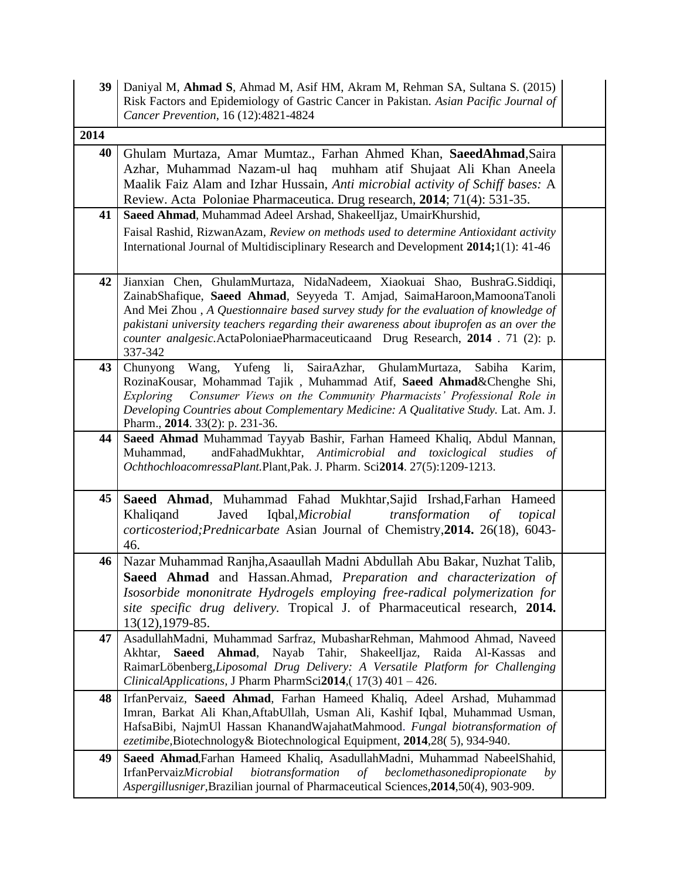| 39   | Daniyal M, Ahmad S, Ahmad M, Asif HM, Akram M, Rehman SA, Sultana S. (2015)<br>Risk Factors and Epidemiology of Gastric Cancer in Pakistan. Asian Pacific Journal of<br>Cancer Prevention, 16 (12):4821-4824                                                                                                                                                                                                                          |  |
|------|---------------------------------------------------------------------------------------------------------------------------------------------------------------------------------------------------------------------------------------------------------------------------------------------------------------------------------------------------------------------------------------------------------------------------------------|--|
| 2014 |                                                                                                                                                                                                                                                                                                                                                                                                                                       |  |
| 40   | Ghulam Murtaza, Amar Mumtaz., Farhan Ahmed Khan, SaeedAhmad, Saira<br>Azhar, Muhammad Nazam-ul haq muhham atif Shujaat Ali Khan Aneela<br>Maalik Faiz Alam and Izhar Hussain, Anti microbial activity of Schiff bases: A<br>Review. Acta Poloniae Pharmaceutica. Drug research, 2014; 71(4): 531-35.                                                                                                                                  |  |
| 41   | Saeed Ahmad, Muhammad Adeel Arshad, ShakeelIjaz, UmairKhurshid,<br>Faisal Rashid, RizwanAzam, Review on methods used to determine Antioxidant activity<br>International Journal of Multidisciplinary Research and Development 2014;1(1): 41-46                                                                                                                                                                                        |  |
| 42   | Jianxian Chen, GhulamMurtaza, NidaNadeem, Xiaokuai Shao, BushraG.Siddiqi,<br>ZainabShafique, Saeed Ahmad, Seyyeda T. Amjad, SaimaHaroon, MamoonaTanoli<br>And Mei Zhou, A Questionnaire based survey study for the evaluation of knowledge of<br>pakistani university teachers regarding their awareness about ibuprofen as an over the<br>counter analgesic.ActaPoloniaePharmaceuticaand Drug Research, 2014 . 71 (2): p.<br>337-342 |  |
| 43   | Yufeng li, SairaAzhar, GhulamMurtaza,<br>Chunyong<br>Wang,<br>Sabiha<br>Karim,<br>RozinaKousar, Mohammad Tajik, Muhammad Atif, Saeed Ahmad&Chenghe Shi,<br>Consumer Views on the Community Pharmacists' Professional Role in<br>Exploring<br>Developing Countries about Complementary Medicine: A Qualitative Study. Lat. Am. J.<br>Pharm., 2014. 33(2): p. 231-36.                                                                   |  |
| 44   | Saeed Ahmad Muhammad Tayyab Bashir, Farhan Hameed Khaliq, Abdul Mannan,<br>andFahadMukhtar, Antimicrobial and toxiclogical studies<br>Muhammad,<br>of<br>OchthochloacomressaPlant.Plant,Pak. J. Pharm. Sci2014. 27(5):1209-1213.                                                                                                                                                                                                      |  |
| 45   | Saeed Ahmad, Muhammad Fahad Mukhtar, Sajid Irshad, Farhan Hameed<br>Javed<br>Iqbal, Microbial<br>Khaliqand<br>transformation<br>of<br>topical<br>corticosteriod; Prednicarbate Asian Journal of Chemistry, 2014. 26(18), 6043-<br>46.                                                                                                                                                                                                 |  |
| 46   | Nazar Muhammad Ranjha, Asaaullah Madni Abdullah Abu Bakar, Nuzhat Talib,<br>Saeed Ahmad and Hassan.Ahmad, Preparation and characterization of<br>Isosorbide mononitrate Hydrogels employing free-radical polymerization for<br>site specific drug delivery. Tropical J. of Pharmaceutical research, 2014.<br>$13(12), 1979-85.$                                                                                                       |  |
| 47   | AsadullahMadni, Muhammad Sarfraz, MubasharRehman, Mahmood Ahmad, Naveed<br>Akhtar, Saeed Ahmad, Nayab Tahir, ShakeelIjaz, Raida Al-Kassas<br>and<br>RaimarLöbenberg, Liposomal Drug Delivery: A Versatile Platform for Challenging<br>ClinicalApplications, J Pharm PharmSci2014, (17(3) 401 - 426.                                                                                                                                   |  |
| 48   | IrfanPervaiz, Saeed Ahmad, Farhan Hameed Khaliq, Adeel Arshad, Muhammad<br>Imran, Barkat Ali Khan, AftabUllah, Usman Ali, Kashif Iqbal, Muhammad Usman,<br>HafsaBibi, NajmUl Hassan KhanandWajahatMahmood. Fungal biotransformation of<br>ezetimibe, Biotechnology & Biotechnological Equipment, 2014, 28(5), 934-940.                                                                                                                |  |
| 49   | Saeed Ahmad, Farhan Hameed Khaliq, AsadullahMadni, Muhammad NabeelShahid,<br>IrfanPervaizMicrobial<br>biotransformation<br>of beclomethasonedipropionate<br>by<br>Aspergillusniger, Brazilian journal of Pharmaceutical Sciences, 2014, 50(4), 903-909.                                                                                                                                                                               |  |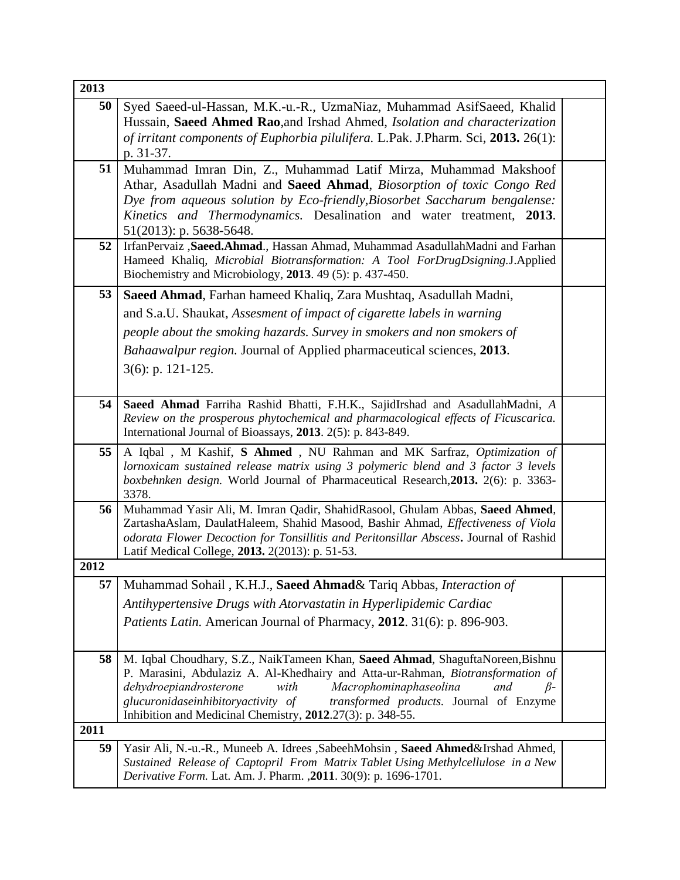| 2013 |                                                                                                                                                                        |  |
|------|------------------------------------------------------------------------------------------------------------------------------------------------------------------------|--|
| 50   | Syed Saeed-ul-Hassan, M.K.-u.-R., UzmaNiaz, Muhammad AsifSaeed, Khalid                                                                                                 |  |
|      | Hussain, Saeed Ahmed Rao, and Irshad Ahmed, Isolation and characterization                                                                                             |  |
|      | of irritant components of Euphorbia pilulifera. L.Pak. J.Pharm. Sci, 2013. 26(1):                                                                                      |  |
|      | p. 31-37.                                                                                                                                                              |  |
| 51   | Muhammad Imran Din, Z., Muhammad Latif Mirza, Muhammad Makshoof                                                                                                        |  |
|      | Athar, Asadullah Madni and Saeed Ahmad, Biosorption of toxic Congo Red                                                                                                 |  |
|      | Dye from aqueous solution by Eco-friendly, Biosorbet Saccharum bengalense:<br>Kinetics and Thermodynamics. Desalination and water treatment, 2013.                     |  |
|      | 51(2013): p. 5638-5648.                                                                                                                                                |  |
| 52   | IrfanPervaiz, Saeed.Ahmad., Hassan Ahmad, Muhammad AsadullahMadni and Farhan                                                                                           |  |
|      | Hameed Khaliq, Microbial Biotransformation: A Tool ForDrugDsigning.J.Applied                                                                                           |  |
|      | Biochemistry and Microbiology, 2013. 49 (5): p. 437-450.                                                                                                               |  |
| 53   | Saeed Ahmad, Farhan hameed Khaliq, Zara Mushtaq, Asadullah Madni,                                                                                                      |  |
|      | and S.a.U. Shaukat, Assesment of impact of cigarette labels in warning                                                                                                 |  |
|      | people about the smoking hazards. Survey in smokers and non smokers of                                                                                                 |  |
|      | Bahaawalpur region. Journal of Applied pharmaceutical sciences, 2013.                                                                                                  |  |
|      | $3(6)$ : p. 121-125.                                                                                                                                                   |  |
|      |                                                                                                                                                                        |  |
| 54   | Saeed Ahmad Farriha Rashid Bhatti, F.H.K., SajidIrshad and AsadullahMadni, A                                                                                           |  |
|      | Review on the prosperous phytochemical and pharmacological effects of Ficuscarica.                                                                                     |  |
|      | International Journal of Bioassays, 2013. 2(5): p. 843-849.                                                                                                            |  |
| 55   | A Iqbal , M Kashif, S Ahmed , NU Rahman and MK Sarfraz, Optimization of                                                                                                |  |
|      | lornoxicam sustained release matrix using 3 polymeric blend and 3 factor 3 levels<br>boxbehnken design. World Journal of Pharmaceutical Research, 2013. 2(6): p. 3363- |  |
|      | 3378.                                                                                                                                                                  |  |
| 56   | Muhammad Yasir Ali, M. Imran Qadir, ShahidRasool, Ghulam Abbas, Saeed Ahmed,                                                                                           |  |
|      | ZartashaAslam, DaulatHaleem, Shahid Masood, Bashir Ahmad, Effectiveness of Viola                                                                                       |  |
|      | odorata Flower Decoction for Tonsillitis and Peritonsillar Abscess. Journal of Rashid<br>Latif Medical College, 2013. 2(2013): p. 51-53.                               |  |
| 2012 |                                                                                                                                                                        |  |
| 57   | Muhammad Sohail, K.H.J., Saeed Ahmad& Tariq Abbas, Interaction of                                                                                                      |  |
|      | Antihypertensive Drugs with Atorvastatin in Hyperlipidemic Cardiac                                                                                                     |  |
|      | Patients Latin. American Journal of Pharmacy, 2012. 31(6): p. 896-903.                                                                                                 |  |
|      |                                                                                                                                                                        |  |
| 58   | M. Iqbal Choudhary, S.Z., NaikTameen Khan, Saeed Ahmad, ShaguftaNoreen, Bishnu                                                                                         |  |
|      | P. Marasini, Abdulaziz A. Al-Khedhairy and Atta-ur-Rahman, Biotransformation of                                                                                        |  |
|      | dehydroepiandrosterone<br>Macrophominaphaseolina<br>with<br>and<br>$\beta$ -                                                                                           |  |
|      | glucuronidaseinhibitoryactivity of<br>transformed products. Journal of Enzyme<br>Inhibition and Medicinal Chemistry, 2012.27(3): p. 348-55.                            |  |
| 2011 |                                                                                                                                                                        |  |
| 59   | Yasir Ali, N.-u.-R., Muneeb A. Idrees , Sabeeh Mohsin, Saeed Ahmed & Irshad Ahmed,                                                                                     |  |
|      | Sustained Release of Captopril From Matrix Tablet Using Methylcellulose in a New                                                                                       |  |
|      | Derivative Form. Lat. Am. J. Pharm. , 2011. 30(9): p. 1696-1701.                                                                                                       |  |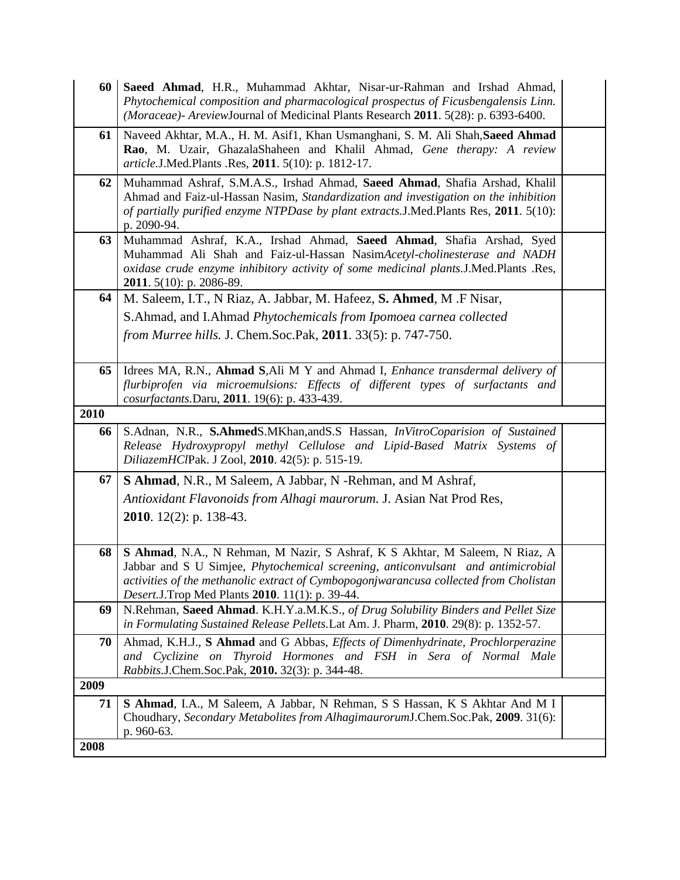| 60   | Saeed Ahmad, H.R., Muhammad Akhtar, Nisar-ur-Rahman and Irshad Ahmad,<br>Phytochemical composition and pharmacological prospectus of Ficusbengalensis Linn.<br>(Moraceae)- Areview Journal of Medicinal Plants Research 2011. 5(28): p. 6393-6400.                                                          |  |
|------|-------------------------------------------------------------------------------------------------------------------------------------------------------------------------------------------------------------------------------------------------------------------------------------------------------------|--|
| 61   | Naveed Akhtar, M.A., H. M. Asif1, Khan Usmanghani, S. M. Ali Shah, Saeed Ahmad<br>Rao, M. Uzair, GhazalaShaheen and Khalil Ahmad, Gene therapy: A review<br>article.J.Med.Plants .Res, 2011. 5(10): p. 1812-17.                                                                                             |  |
| 62   | Muhammad Ashraf, S.M.A.S., Irshad Ahmad, Saeed Ahmad, Shafia Arshad, Khalil<br>Ahmad and Faiz-ul-Hassan Nasim, Standardization and investigation on the inhibition<br>of partially purified enzyme NTPDase by plant extracts. J.Med.Plants Res, 2011. 5(10):<br>p. 2090-94.                                 |  |
| 63   | Muhammad Ashraf, K.A., Irshad Ahmad, Saeed Ahmad, Shafia Arshad, Syed<br>Muhammad Ali Shah and Faiz-ul-Hassan NasimAcetyl-cholinesterase and NADH<br>oxidase crude enzyme inhibitory activity of some medicinal plants.J.Med.Plants .Res,<br><b>2011.</b> 5(10): p. 2086-89.                                |  |
| 64   | M. Saleem, I.T., N Riaz, A. Jabbar, M. Hafeez, S. Ahmed, M.F Nisar,                                                                                                                                                                                                                                         |  |
|      | S.Ahmad, and I.Ahmad Phytochemicals from Ipomoea carnea collected                                                                                                                                                                                                                                           |  |
|      | <i>from Murree hills. J. Chem.Soc.Pak, 2011.</i> 33(5): p. 747-750.                                                                                                                                                                                                                                         |  |
| 65   | Idrees MA, R.N., Ahmad S, Ali M Y and Ahmad I, Enhance transdermal delivery of<br>flurbiprofen via microemulsions: Effects of different types of surfactants and<br>cosurfactants. Daru, 2011. 19(6): p. 433-439.                                                                                           |  |
| 2010 |                                                                                                                                                                                                                                                                                                             |  |
| 66   | S.Adnan, N.R., S.AhmedS.MKhan, and S.S Hassan, <i>In Vitro Coparision of Sustained</i><br>Release Hydroxypropyl methyl Cellulose and Lipid-Based Matrix Systems of<br>DiliazemHClPak. J Zool, 2010. 42(5): p. 515-19.                                                                                       |  |
| 67   | <b>S Ahmad</b> , N.R., M Saleem, A Jabbar, N - Rehman, and M Ashraf,                                                                                                                                                                                                                                        |  |
|      | Antioxidant Flavonoids from Alhagi maurorum. J. Asian Nat Prod Res,                                                                                                                                                                                                                                         |  |
|      | <b>2010.</b> 12(2): p. 138-43.                                                                                                                                                                                                                                                                              |  |
| 68   | S Ahmad, N.A., N Rehman, M Nazir, S Ashraf, K S Akhtar, M Saleem, N Riaz, A<br>Jabbar and S U Simjee, Phytochemical screening, anticonvulsant and antimicrobial<br>activities of the methanolic extract of Cymbopogonjwarancusa collected from Cholistan<br>Desert.J.Trop Med Plants 2010. 11(1): p. 39-44. |  |
| 69   | N.Rehman, Saeed Ahmad. K.H.Y.a.M.K.S., of Drug Solubility Binders and Pellet Size                                                                                                                                                                                                                           |  |
|      | in Formulating Sustained Release Pellets. Lat Am. J. Pharm, 2010. 29(8): p. 1352-57.                                                                                                                                                                                                                        |  |
| 70   | Ahmad, K.H.J., S Ahmad and G Abbas, Effects of Dimenhydrinate, Prochlorperazine<br>and Cyclizine on Thyroid Hormones and FSH in Sera of Normal Male<br>Rabbits.J.Chem.Soc.Pak, 2010. 32(3): p. 344-48.                                                                                                      |  |
| 2009 |                                                                                                                                                                                                                                                                                                             |  |
| 71   | S Ahmad, I.A., M Saleem, A Jabbar, N Rehman, S S Hassan, K S Akhtar And M I<br>Choudhary, Secondary Metabolites from AlhagimaurorumJ.Chem.Soc.Pak, 2009. 31(6):                                                                                                                                             |  |
|      | p. 960-63.                                                                                                                                                                                                                                                                                                  |  |
| 2008 |                                                                                                                                                                                                                                                                                                             |  |